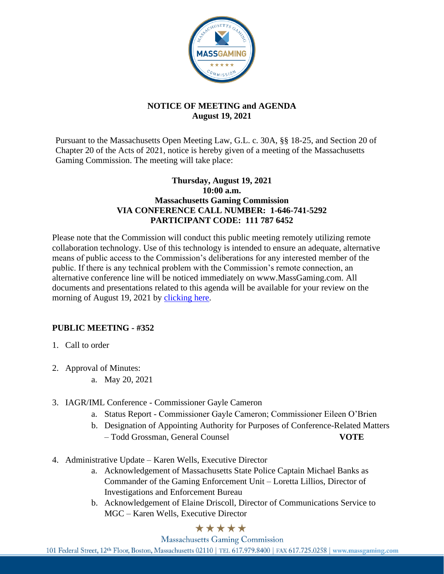

## **NOTICE OF MEETING and AGENDA August 19, 2021**

Pursuant to the Massachusetts Open Meeting Law, G.L. c. 30A, §§ 18-25, and Section 20 of Chapter 20 of the Acts of 2021, notice is hereby given of a meeting of the Massachusetts Gaming Commission. The meeting will take place:

## **Thursday, August 19, 2021 10:00 a.m. Massachusetts Gaming Commission VIA CONFERENCE CALL NUMBER: 1-646-741-5292 PARTICIPANT CODE: 111 787 6452**

Please note that the Commission will conduct this public meeting remotely utilizing remote collaboration technology. Use of this technology is intended to ensure an adequate, alternative means of public access to the Commission's deliberations for any interested member of the public. If there is any technical problem with the Commission's remote connection, an alternative conference line will be noticed immediately on www.MassGaming.com. All documents and presentations related to this agenda will be available for your review on the morning of August 19, 2021 by clicking here.

## **PUBLIC MEETING - #352**

- 1. Call to order
- 2. Approval of Minutes:
	- a. May 20, 2021
- 3. IAGR/IML Conference Commissioner Gayle Cameron
	- a. Status Report Commissioner Gayle Cameron; Commissioner Eileen O'Brien
	- b. Designation of Appointing Authority for Purposes of Conference-Related Matters – Todd Grossman, General Counsel **VOTE**
- 4. Administrative Update Karen Wells, Executive Director
	- a. Acknowledgement of Massachusetts State Police Captain Michael Banks as Commander of the Gaming Enforcement Unit – Loretta Lillios, Director of Investigations and Enforcement Bureau
	- b. Acknowledgement of Elaine Driscoll, Director of Communications Service to MGC – Karen Wells, Executive Director

## \*\*\*\*\*

**Massachusetts Gaming Commission** 

101 Federal Street, 12th Floor, Boston, Massachusetts 02110 | TEL 617.979.8400 | FAX 617.725.0258 | www.massgaming.com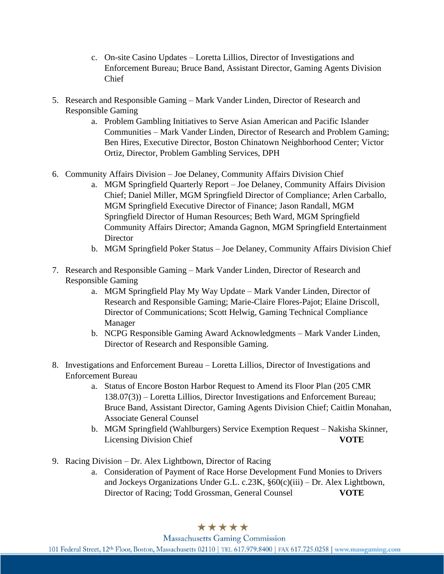- c. On-site Casino Updates Loretta Lillios, Director of Investigations and Enforcement Bureau; Bruce Band, Assistant Director, Gaming Agents Division Chief
- 5. Research and Responsible Gaming Mark Vander Linden, Director of Research and Responsible Gaming
	- a. Problem Gambling Initiatives to Serve Asian American and Pacific Islander Communities – Mark Vander Linden, Director of Research and Problem Gaming; Ben Hires, Executive Director, Boston Chinatown Neighborhood Center; Victor Ortiz, Director, Problem Gambling Services, DPH
- 6. Community Affairs Division Joe Delaney, Community Affairs Division Chief
	- a. MGM Springfield Quarterly Report Joe Delaney, Community Affairs Division Chief; Daniel Miller, MGM Springfield Director of Compliance; Arlen Carballo, MGM Springfield Executive Director of Finance; Jason Randall, MGM Springfield Director of Human Resources; Beth Ward, MGM Springfield Community Affairs Director; Amanda Gagnon, MGM Springfield Entertainment **Director**
	- b. MGM Springfield Poker Status Joe Delaney, Community Affairs Division Chief
- 7. Research and Responsible Gaming Mark Vander Linden, Director of Research and Responsible Gaming
	- a. MGM Springfield Play My Way Update Mark Vander Linden, Director of Research and Responsible Gaming; Marie-Claire Flores-Pajot; Elaine Driscoll, Director of Communications; Scott Helwig, Gaming Technical Compliance Manager
	- b. NCPG Responsible Gaming Award Acknowledgments Mark Vander Linden, Director of Research and Responsible Gaming.
- 8. Investigations and Enforcement Bureau Loretta Lillios, Director of Investigations and Enforcement Bureau
	- a. Status of Encore Boston Harbor Request to Amend its Floor Plan (205 CMR 138.07(3)) – Loretta Lillios, Director Investigations and Enforcement Bureau; Bruce Band, Assistant Director, Gaming Agents Division Chief; Caitlin Monahan, Associate General Counsel
	- b. MGM Springfield (Wahlburgers) Service Exemption Request Nakisha Skinner, Licensing Division Chief **VOTE**
- 9. Racing Division Dr. Alex Lightbown, Director of Racing
	- a. Consideration of Payment of Race Horse Development Fund Monies to Drivers and Jockeys Organizations Under G.L. c.23K, §60(c)(iii) – Dr. Alex Lightbown, Director of Racing; Todd Grossman, General Counsel **VOTE**

\*\*\*\*\*